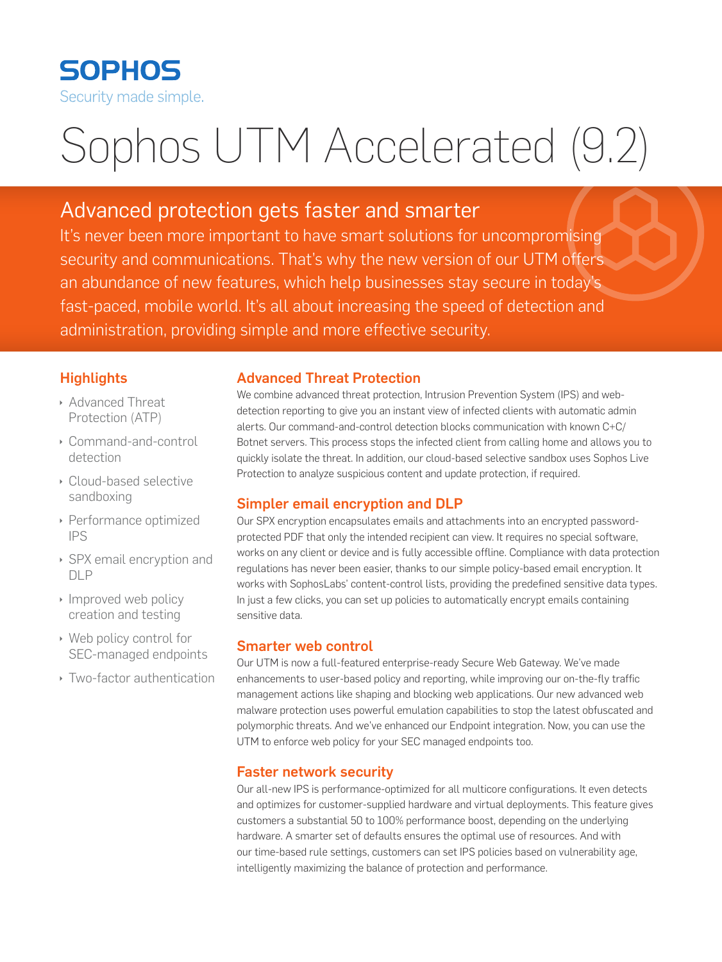

# Sophos UTM Accelerated (9.2)

# Advanced protection gets faster and smarter

It's never been more important to have smart solutions for uncompromising security and communications. That's why the new version of our UTM offers an abundance of new features, which help businesses stay secure in today's fast-paced, mobile world. It's all about increasing the speed of detection and administration, providing simple and more effective security.

# **Highlights**

- **Advanced Threat** Protection (ATP)
- ▶ Command-and-control detection
- ▶ Cloud-based selective sandboxing
- **Performance optimized** IPS
- ▶ SPX email encryption and DLP
- $\cdot$  Improved web policy creation and testing
- $\rightarrow$  Web policy control for SEC-managed endpoints
- **I** Two-factor authentication

## Advanced Threat Protection

We combine advanced threat protection, Intrusion Prevention System (IPS) and webdetection reporting to give you an instant view of infected clients with automatic admin alerts. Our command-and-control detection blocks communication with known C+C/ Botnet servers. This process stops the infected client from calling home and allows you to quickly isolate the threat. In addition, our cloud-based selective sandbox uses Sophos Live Protection to analyze suspicious content and update protection, if required.

## Simpler email encryption and DLP

Our SPX encryption encapsulates emails and attachments into an encrypted passwordprotected PDF that only the intended recipient can view. It requires no special software, works on any client or device and is fully accessible offline. Compliance with data protection regulations has never been easier, thanks to our simple policy-based email encryption. It works with SophosLabs' content-control lists, providing the predefined sensitive data types. In just a few clicks, you can set up policies to automatically encrypt emails containing sensitive data.

## Smarter web control

Our UTM is now a full-featured enterprise-ready Secure Web Gateway. We've made enhancements to user-based policy and reporting, while improving our on-the-fly traffic management actions like shaping and blocking web applications. Our new advanced web malware protection uses powerful emulation capabilities to stop the latest obfuscated and polymorphic threats. And we've enhanced our Endpoint integration. Now, you can use the UTM to enforce web policy for your SEC managed endpoints too.

# Faster network security

Our all-new IPS is performance-optimized for all multicore configurations. It even detects and optimizes for customer-supplied hardware and virtual deployments. This feature gives customers a substantial 50 to 100% performance boost, depending on the underlying hardware. A smarter set of defaults ensures the optimal use of resources. And with our time-based rule settings, customers can set IPS policies based on vulnerability age, intelligently maximizing the balance of protection and performance.